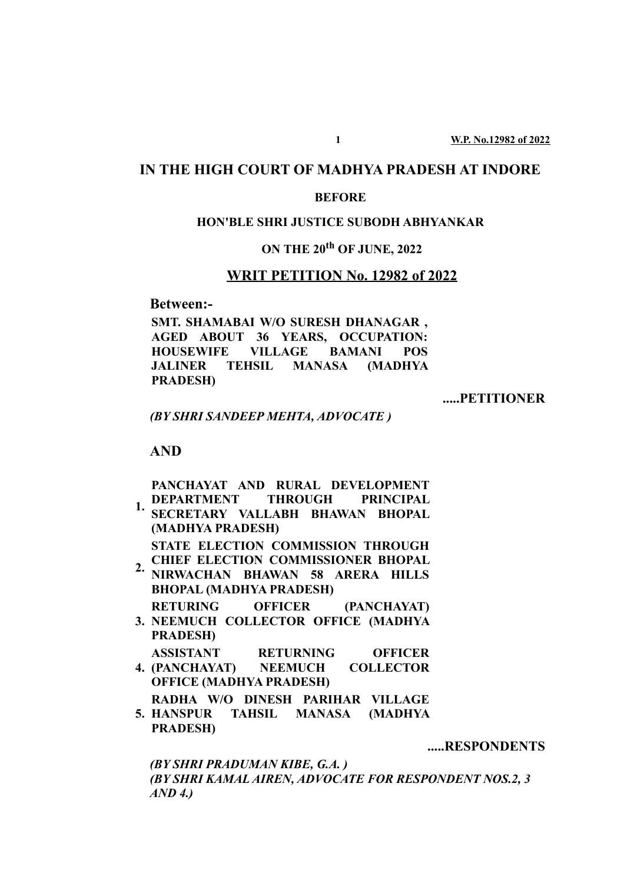## **IN THE HIGH COURT OF MADHYA PRADESH AT INDORE**

#### **BEFORE**

#### **HON'BLE SHRI JUSTICE SUBODH ABHYANKAR**

### **ON THE 20th OF JUNE, 2022**

#### **WRIT PETITION No. 12982 of 2022**

**Between:-**

**SMT. SHAMABAI W/O SURESH DHANAGAR , AGED ABOUT 36 YEARS, OCCUPATION: HOUSEWIFE VILLAGE BAMANI POS JALINER TEHSIL MANASA (MADHYA PRADESH)**

**.....PETITIONER**

*(BY SHRI SANDEEP MEHTA, ADVOCATE )*

**AND**

**PANCHAYAT AND RURAL DEVELOPMENT**

**1. DEPARTMENT THROUGH PRINCIPAL SECRETARY VALLABH BHAWAN BHOPAL (MADHYA PRADESH) STATE ELECTION COMMISSION THROUGH**

2. CHIEF ELECTION COMMISSIONER BHOPAL<br> **CHIAN BHAWAN 58 ADEDA HULLS** 

- **NIRWACHAN BHAWAN 58 ARERA HILLS BHOPAL (MADHYA PRADESH)**
- **3. NEEMUCH COLLECTOR OFFICE (MADHYA RETURING OFFICER (PANCHAYAT)**
	- **PRADESH)**
- **4. (PANCHAYAT) NEEMUCH COLLECTOR ASSISTANT RETURNING OFFICER OFFICE (MADHYA PRADESH)**
- **RADHA W/O DINESH PARIHAR VILLAGE**
- **5. HANSPUR TAHSIL MANASA (MADHYA PRADESH)**

**.....RESPONDENTS**

*(BY SHRI PRADUMAN KIBE, G.A. )*

*(BY SHRI KAMAL AIREN, ADVOCATE FOR RESPONDENT NOS.2, 3 AND 4.)*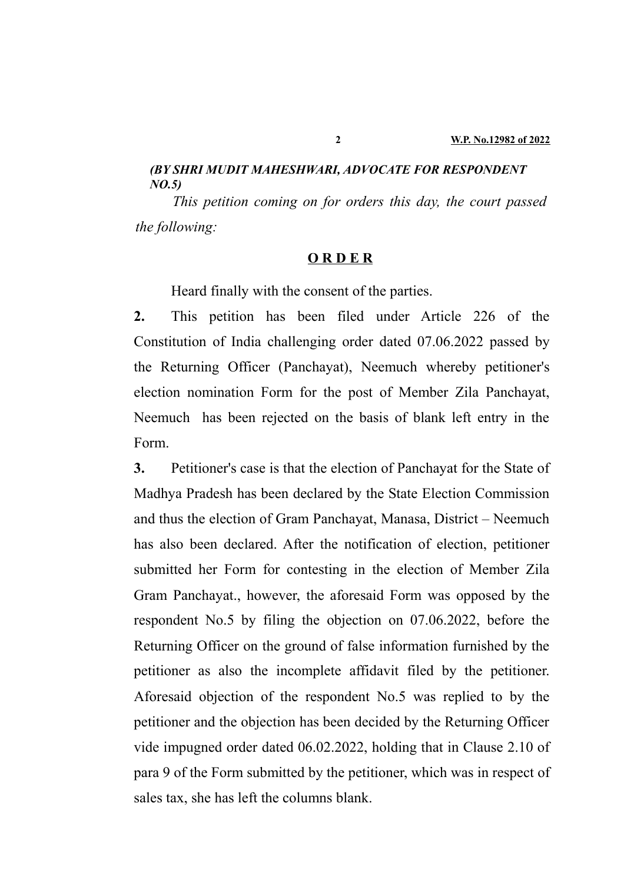### *(BY SHRI MUDIT MAHESHWARI, ADVOCATE FOR RESPONDENT NO.5)*

*This petition coming on for orders this day, the court passed the following:*

#### **O R D E R**

Heard finally with the consent of the parties.

**2.** This petition has been filed under Article 226 of the Constitution of India challenging order dated 07.06.2022 passed by the Returning Officer (Panchayat), Neemuch whereby petitioner's election nomination Form for the post of Member Zila Panchayat, Neemuch has been rejected on the basis of blank left entry in the Form.

**3.** Petitioner's case is that the election of Panchayat for the State of Madhya Pradesh has been declared by the State Election Commission and thus the election of Gram Panchayat, Manasa, District – Neemuch has also been declared. After the notification of election, petitioner submitted her Form for contesting in the election of Member Zila Gram Panchayat., however, the aforesaid Form was opposed by the respondent No.5 by filing the objection on 07.06.2022, before the Returning Officer on the ground of false information furnished by the petitioner as also the incomplete affidavit filed by the petitioner. Aforesaid objection of the respondent No.5 was replied to by the petitioner and the objection has been decided by the Returning Officer vide impugned order dated 06.02.2022, holding that in Clause 2.10 of para 9 of the Form submitted by the petitioner, which was in respect of sales tax, she has left the columns blank.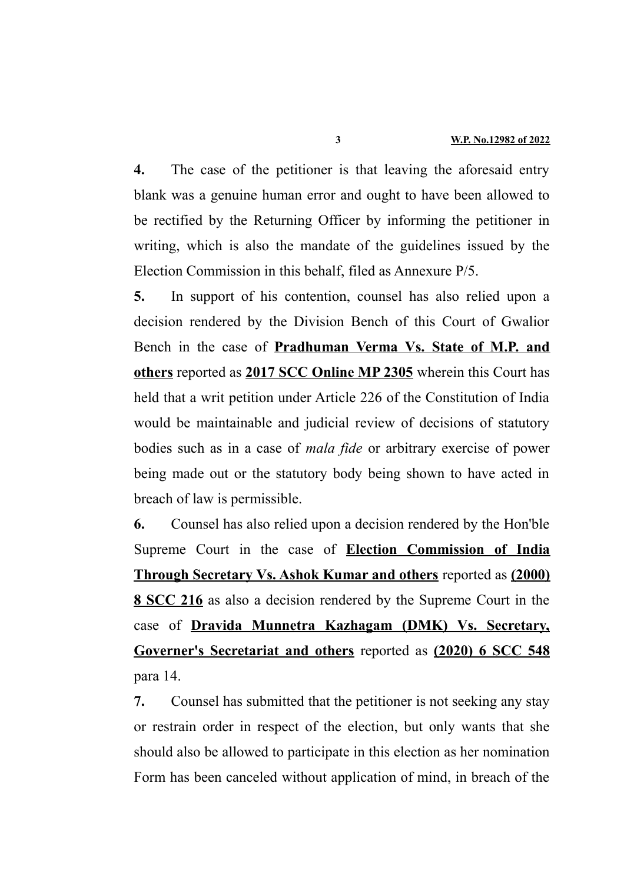**4.** The case of the petitioner is that leaving the aforesaid entry blank was a genuine human error and ought to have been allowed to be rectified by the Returning Officer by informing the petitioner in writing, which is also the mandate of the guidelines issued by the Election Commission in this behalf, filed as Annexure P/5.

**5.** In support of his contention, counsel has also relied upon a decision rendered by the Division Bench of this Court of Gwalior Bench in the case of **Pradhuman Verma Vs. State of M.P. and others** reported as **2017 SCC Online MP 2305** wherein this Court has held that a writ petition under Article 226 of the Constitution of India would be maintainable and judicial review of decisions of statutory bodies such as in a case of *mala fide* or arbitrary exercise of power being made out or the statutory body being shown to have acted in breach of law is permissible.

**6.** Counsel has also relied upon a decision rendered by the Hon'ble Supreme Court in the case of **Election Commission of India Through Secretary Vs. Ashok Kumar and others** reported as **(2000) 8 SCC 216** as also a decision rendered by the Supreme Court in the case of **Dravida Munnetra Kazhagam (DMK) Vs. Secretary, Governer's Secretariat and others** reported as **(2020) 6 SCC 548** para 14.

**7.** Counsel has submitted that the petitioner is not seeking any stay or restrain order in respect of the election, but only wants that she should also be allowed to participate in this election as her nomination Form has been canceled without application of mind, in breach of the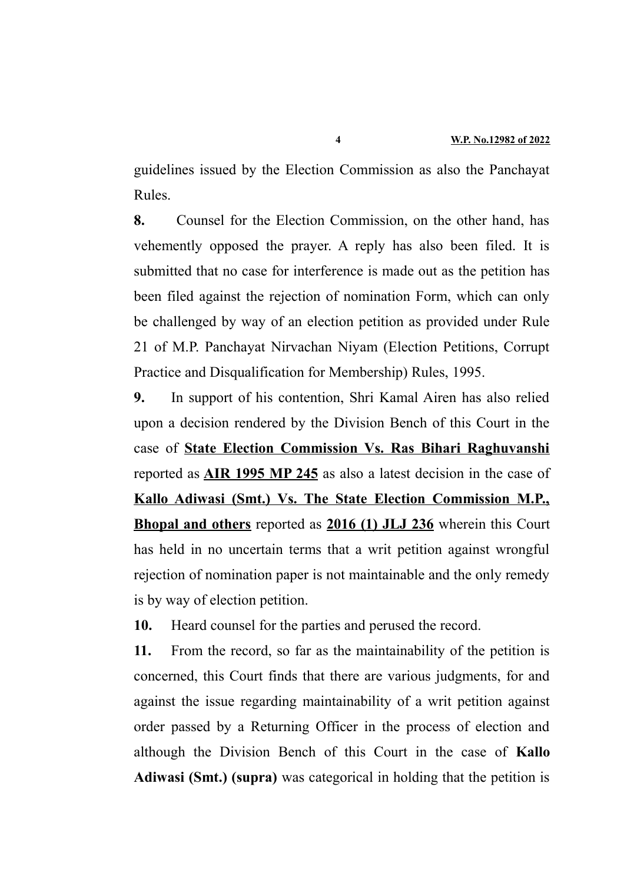guidelines issued by the Election Commission as also the Panchayat Rules.

**8.** Counsel for the Election Commission, on the other hand, has vehemently opposed the prayer. A reply has also been filed. It is submitted that no case for interference is made out as the petition has been filed against the rejection of nomination Form, which can only be challenged by way of an election petition as provided under Rule 21 of M.P. Panchayat Nirvachan Niyam (Election Petitions, Corrupt Practice and Disqualification for Membership) Rules, 1995.

**9.** In support of his contention, Shri Kamal Airen has also relied upon a decision rendered by the Division Bench of this Court in the case of **State Election Commission Vs. Ras Bihari Raghuvanshi** reported as **AIR 1995 MP 245** as also a latest decision in the case of **Kallo Adiwasi (Smt.) Vs. The State Election Commission M.P., Bhopal and others** reported as **2016 (1) JLJ 236** wherein this Court has held in no uncertain terms that a writ petition against wrongful rejection of nomination paper is not maintainable and the only remedy is by way of election petition.

**10.** Heard counsel for the parties and perused the record.

**11.** From the record, so far as the maintainability of the petition is concerned, this Court finds that there are various judgments, for and against the issue regarding maintainability of a writ petition against order passed by a Returning Officer in the process of election and although the Division Bench of this Court in the case of **Kallo Adiwasi (Smt.) (supra)** was categorical in holding that the petition is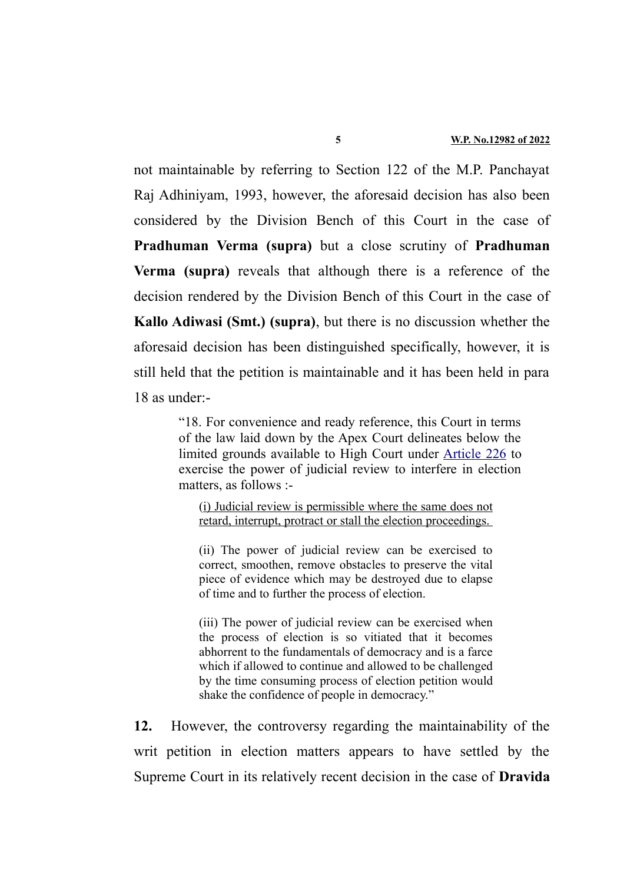not maintainable by referring to Section 122 of the M.P. Panchayat Raj Adhiniyam, 1993, however, the aforesaid decision has also been considered by the Division Bench of this Court in the case of **Pradhuman Verma (supra)** but a close scrutiny of **Pradhuman Verma (supra)** reveals that although there is a reference of the decision rendered by the Division Bench of this Court in the case of **Kallo Adiwasi (Smt.) (supra)**, but there is no discussion whether the aforesaid decision has been distinguished specifically, however, it is still held that the petition is maintainable and it has been held in para 18 as under:-

> "18. For convenience and ready reference, this Court in terms of the law laid down by the Apex Court delineates below the limited grounds available to High Court under [Article 226](https://indiankanoon.org/doc/1712542/) to exercise the power of judicial review to interfere in election matters, as follows :-

(i) Judicial review is permissible where the same does not retard, interrupt, protract or stall the election proceedings.

(ii) The power of judicial review can be exercised to correct, smoothen, remove obstacles to preserve the vital piece of evidence which may be destroyed due to elapse of time and to further the process of election.

(iii) The power of judicial review can be exercised when the process of election is so vitiated that it becomes abhorrent to the fundamentals of democracy and is a farce which if allowed to continue and allowed to be challenged by the time consuming process of election petition would shake the confidence of people in democracy."

**12.** However, the controversy regarding the maintainability of the writ petition in election matters appears to have settled by the Supreme Court in its relatively recent decision in the case of **Dravida**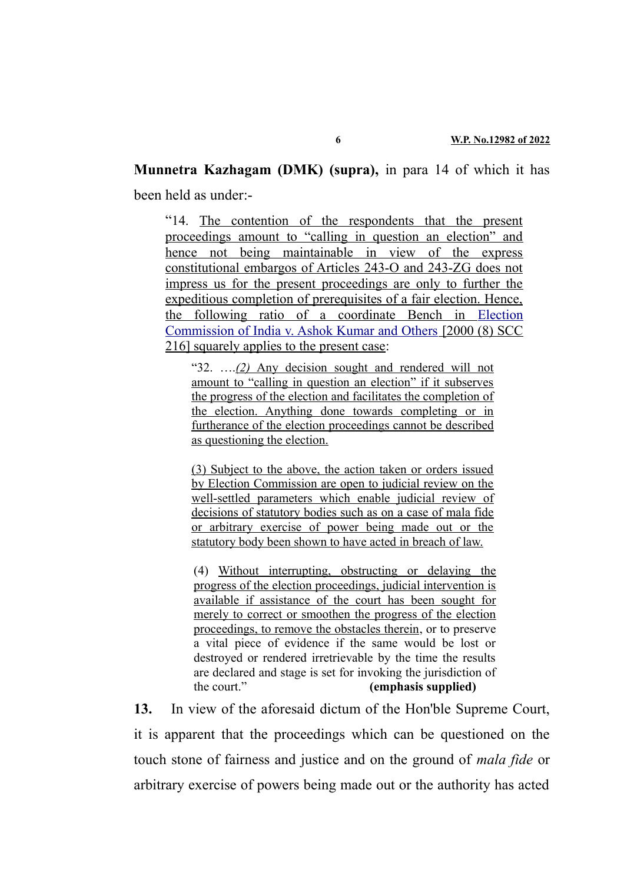# **Munnetra Kazhagam (DMK) (supra),** in para 14 of which it has

been held as under:-

"14. The contention of the respondents that the present proceedings amount to "calling in question an election" and hence not being maintainable in view of the express constitutional embargos of Articles 243-O and 243-ZG does not impress us for the present proceedings are only to further the expeditious completion of prerequisites of a fair election. Hence, the following ratio of a coordinate Bench in [Election](https://indiankanoon.org/doc/1247997/) [Commission of India v. Ashok Kumar and Others](https://indiankanoon.org/doc/1247997/) [2000 (8) SCC 216] squarely applies to the present case:

" $32.$  .... $(2)$  Any decision sought and rendered will not amount to "calling in question an election" if it subserves the progress of the election and facilitates the completion of the election. Anything done towards completing or in furtherance of the election proceedings cannot be described as questioning the election.

(3) Subject to the above, the action taken or orders issued by Election Commission are open to judicial review on the well-settled parameters which enable judicial review of decisions of statutory bodies such as on a case of mala fide or arbitrary exercise of power being made out or the statutory body been shown to have acted in breach of law.

(4) Without interrupting, obstructing or delaying the progress of the election proceedings, judicial intervention is available if assistance of the court has been sought for merely to correct or smoothen the progress of the election proceedings, to remove the obstacles therein, or to preserve a vital piece of evidence if the same would be lost or destroyed or rendered irretrievable by the time the results are declared and stage is set for invoking the jurisdiction of the court." **(emphasis supplied)**

**13.** In view of the aforesaid dictum of the Hon'ble Supreme Court, it is apparent that the proceedings which can be questioned on the touch stone of fairness and justice and on the ground of *mala fide* or arbitrary exercise of powers being made out or the authority has acted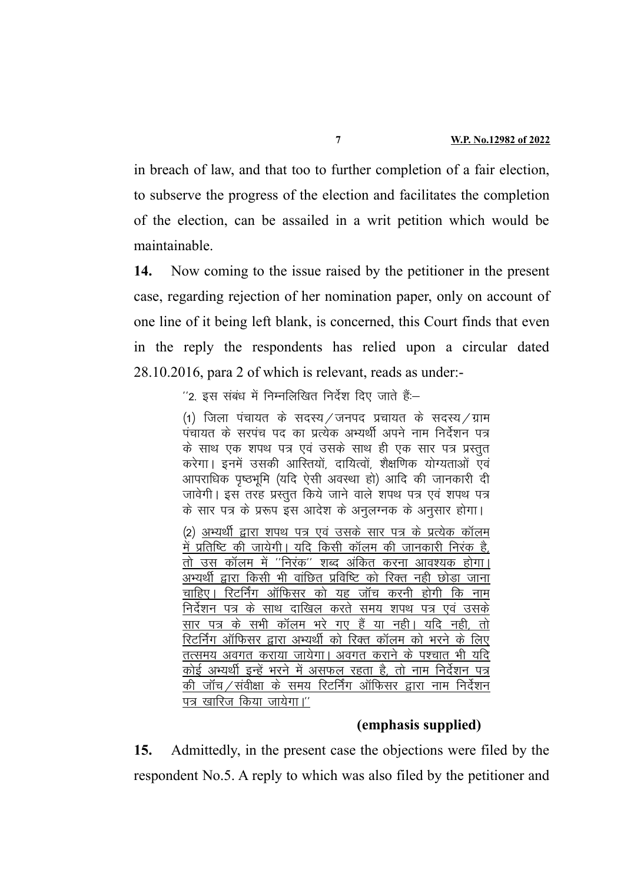in breach of law, and that too to further completion of a fair election, to subserve the progress of the election and facilitates the completion of the election, can be assailed in a writ petition which would be maintainable.

**14.** Now coming to the issue raised by the petitioner in the present case, regarding rejection of her nomination paper, only on account of one line of it being left blank, is concerned, this Court finds that even in the reply the respondents has relied upon a circular dated 28.10.2016, para 2 of which is relevant, reads as under:-

 $^{\prime\prime}$ 2. इस संबंध में निम्नलिखित निर्देश दिए जाते हैं:–

(1) जिला पंचायत के सदस्य / जनपद प्रचायत के सदस्य / ग्राम पंचायत के सरपंच पद का प्रत्येक अभ्यर्थी अपने नाम निर्देशन पत्र के साथ एक शपथ पत्र एवं उसके साथ ही एक सार पत्र प्रस्तुत करेगा। इनमें उसकी आस्तियों, दायित्वों, शैक्षणिक योग्यताओं एवं आपराधिक पृष्ठभूमि (यदि ऐसी अवस्था हो) आदि की जानकारी दी जावेगी। इस तरह प्रस्तुत किये जाने वाले शपथ पत्र एवं शपथ पत्र के सार पत्र के प्ररूप इस आदेश के अनुलग्नक के अनुसार होगा।

(2) अभ्यर्थी द्वारा शपथ पत्र एवं उसके सार पत्र के प्रत्येक कॉलम में प्रतिष्टि की जायेगी। यदि किसी कॉलम की जानकारी निरंक है, <u>तो उस कॉलम में ''निरंक'' शब्द अंकित करना आवश्यक होगा।</u> अभ्यर्थी द्वारा किसी भी वांछित प्रविष्टि को रिक्त नही छोड़ा जाना चाहिए। रिटर्निंग ऑफिसर को यह जॉच करनी होगी कि नाम निर्देशन पत्र के साथ दाखिल करते समय शपथ पत्र एवं उसके सार पत्र के सभी कॉलम भरे गए हैं या नही। यदि नही, तो रिटर्निंग ऑफिसर द्वारा अभ्यर्थी को रिक्त कॉलम को भरने के लिए तत्समय अवगत कराया जायेगा। अवगत कराने के पश्चात भी यदि कोई अभ्यर्थी इन्हें भरने में असफल रहता है, तो नाम निर्देशन पत्र की जॉच/संवीक्षा के समय रिटर्निंग ऑफिसर द्वारा नाम निर्देशन पत्र खारिज किया जायेगा।"

#### **(emphasis supplied)**

**15.** Admittedly, in the present case the objections were filed by the respondent No.5. A reply to which was also filed by the petitioner and